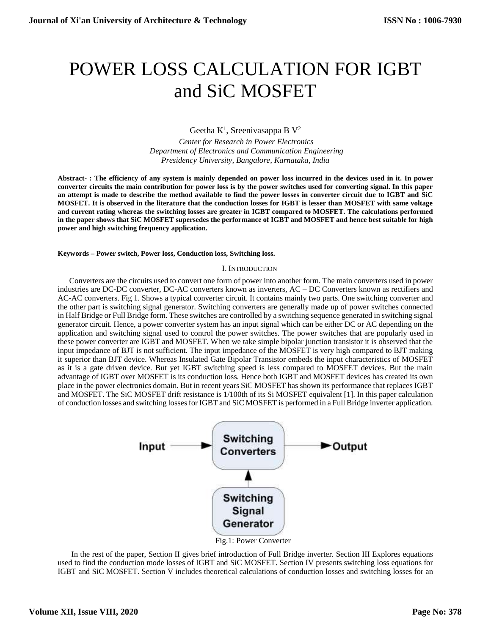# POWER LOSS CALCULATION FOR IGBT and SiC MOSFET

Geetha  $K^1$ , Sreenivasappa B  $V^2$ 

*Center for Research in Power Electronics Department of Electronics and Communication Engineering Presidency University, Bangalore, Karnataka, India*

**Abstract- : The efficiency of any system is mainly depended on power loss incurred in the devices used in it. In power converter circuits the main contribution for power loss is by the power switches used for converting signal. In this paper an attempt is made to describe the method available to find the power losses in converter circuit due to IGBT and SiC MOSFET. It is observed in the literature that the conduction losses for IGBT is lesser than MOSFET with same voltage and current rating whereas the switching losses are greater in IGBT compared to MOSFET. The calculations performed in the paper shows that SiC MOSFET supersedes the performance of IGBT and MOSFET and hence best suitable for high power and high switching frequency application.** 

**Keywords – Power switch, Power loss, Conduction loss, Switching loss.**

### I. INTRODUCTION

Converters are the circuits used to convert one form of power into another form. The main converters used in power industries are DC-DC converter, DC-AC converters known as inverters, AC – DC Converters known as rectifiers and AC-AC converters. Fig 1. Shows a typical converter circuit. It contains mainly two parts. One switching converter and the other part is switching signal generator. Switching converters are generally made up of power switches connected in Half Bridge or Full Bridge form. These switches are controlled by a switching sequence generated in switching signal generator circuit. Hence, a power converter system has an input signal which can be either DC or AC depending on the application and switching signal used to control the power switches. The power switches that are popularly used in these power converter are IGBT and MOSFET. When we take simple bipolar junction transistor it is observed that the input impedance of BJT is not sufficient. The input impedance of the MOSFET is very high compared to BJT making it superior than BJT device. Whereas Insulated Gate Bipolar Transistor embeds the input characteristics of MOSFET as it is a gate driven device. But yet IGBT switching speed is less compared to MOSFET devices. But the main advantage of IGBT over MOSFET is its conduction loss. Hence both IGBT and MOSFET devices has created its own place in the power electronics domain. But in recent years SiC MOSFET has shown its performance that replaces IGBT and MOSFET. The SiC MOSFET drift resistance is 1/100th of its Si MOSFET equivalent [1]. In this paper calculation of conduction losses and switching losses for IGBT and SiC MOSFET is performed in a Full Bridge inverter application.



Fig.1: Power Converter

In the rest of the paper, Section II gives brief introduction of Full Bridge inverter. Section III Explores equations used to find the conduction mode losses of IGBT and SiC MOSFET. Section IV presents switching loss equations for IGBT and SiC MOSFET. Section V includes theoretical calculations of conduction losses and switching losses for an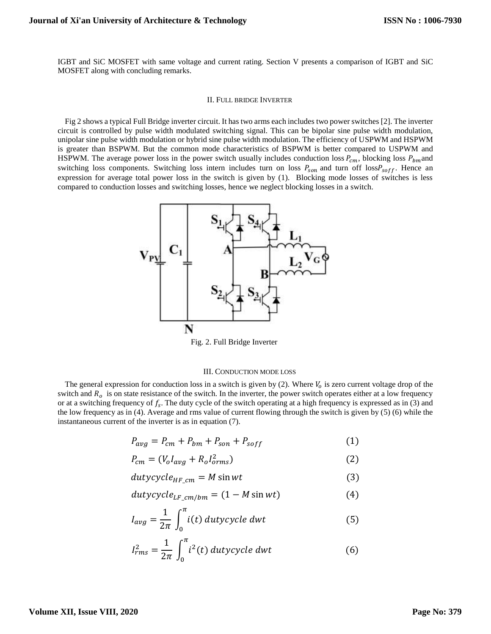IGBT and SiC MOSFET with same voltage and current rating. Section V presents a comparison of IGBT and SiC MOSFET along with concluding remarks.

#### II. FULL BRIDGE INVERTER

Fig 2 shows a typical Full Bridge inverter circuit. It has two arms each includes two power switches [2]. The inverter circuit is controlled by pulse width modulated switching signal. This can be bipolar sine pulse width modulation, unipolar sine pulse width modulation or hybrid sine pulse width modulation. The efficiency of USPWM and HSPWM is greater than BSPWM. But the common mode characteristics of BSPWM is better compared to USPWM and HSPWM. The average power loss in the power switch usually includes conduction loss  $P_{cm}$ , blocking loss  $P_{bm}$  and switching loss components. Switching loss intern includes turn on loss  $P_{son}$  and turn off loss $P_{soft}$ . Hence an expression for average total power loss in the switch is given by (1). Blocking mode losses of switches is less compared to conduction losses and switching losses, hence we neglect blocking losses in a switch.



Fig. 2. Full Bridge Inverter

#### III. CONDUCTION MODE LOSS

The general expression for conduction loss in a switch is given by (2). Where  $V_0$  is zero current voltage drop of the switch and  $R<sub>o</sub>$  is on state resistance of the switch. In the inverter, the power switch operates either at a low frequency or at a switching frequency of  $f_s$ . The duty cycle of the switch operating at a high frequency is expressed as in (3) and the low frequency as in (4). Average and rms value of current flowing through the switch is given by (5) (6) while the instantaneous current of the inverter is as in equation (7).

$$
P_{avg} = P_{cm} + P_{bm} + P_{son} + P_{soft} \tag{1}
$$

$$
P_{cm} = (V_o I_{avg} + R_o I_{orms}^2)
$$
\n<sup>(2)</sup>

$$
dutycycle_{HF\_cm} = M\sin wt \tag{3}
$$

$$
dutycycle_{LF\_cm/bm} = (1 - M\sin wt) \tag{4}
$$

$$
I_{avg} = \frac{1}{2\pi} \int_0^{\pi} i(t) \, dutycycle \, dwt \tag{5}
$$

$$
I_{rms}^2 = \frac{1}{2\pi} \int_0^{\pi} i^2(t) \, duty cycle \, dwt \tag{6}
$$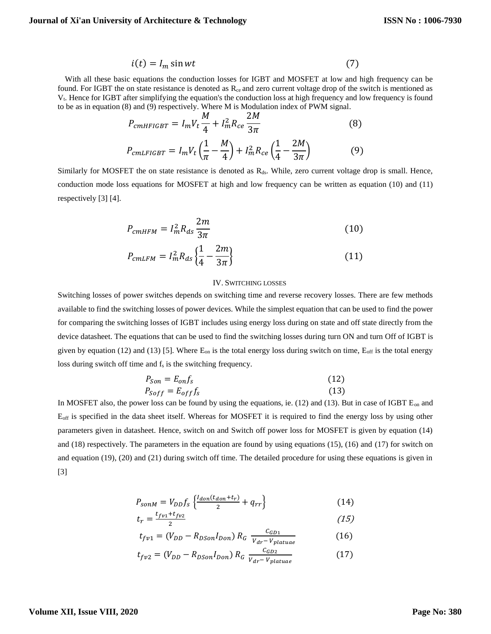$$
i(t) = I_m \sin wt \tag{7}
$$

With all these basic equations the conduction losses for IGBT and MOSFET at low and high frequency can be found. For IGBT the on state resistance is denoted as  $R_{ce}$  and zero current voltage drop of the switch is mentioned as Vt. Hence for IGBT after simplifying the equation's the conduction loss at high frequency and low frequency is found to be as in equation (8) and (9) respectively. Where M is Modulation index of PWM signal.

$$
P_{cmHFIGBT} = I_m V_t \frac{M}{4} + I_m^2 R_{ce} \frac{2M}{3\pi}
$$
(8)  

$$
P_{cmLFIGBT} = I_m V_t \left(\frac{1}{\pi} - \frac{M}{4}\right) + I_m^2 R_{ce} \left(\frac{1}{4} - \frac{2M}{3\pi}\right)
$$
(9)

Similarly for MOSFET the on state resistance is denoted as  $R_{ds}$ . While, zero current voltage drop is small. Hence, conduction mode loss equations for MOSFET at high and low frequency can be written as equation (10) and (11) respectively [3] [4].

$$
P_{cmHFM} = I_m^2 R_{ds} \frac{2m}{3\pi} \tag{10}
$$

$$
P_{cmLFM} = I_m^2 R_{ds} \left\{ \frac{1}{4} - \frac{2m}{3\pi} \right\} \tag{11}
$$

### IV. SWITCHING LOSSES

Switching losses of power switches depends on switching time and reverse recovery losses. There are few methods available to find the switching losses of power devices. While the simplest equation that can be used to find the power for comparing the switching losses of IGBT includes using energy loss during on state and off state directly from the device datasheet. The equations that can be used to find the switching losses during turn ON and turn Off of IGBT is given by equation (12) and (13) [5]. Where  $E_{on}$  is the total energy loss during switch on time,  $E_{off}$  is the total energy loss during switch off time and  $f_s$  is the switching frequency.

$$
P_{Son} = E_{on} f_s
$$
  
\n
$$
P_{Soft} = E_{off} f_s
$$
\n(12)

In MOSFET also, the power loss can be found by using the equations, ie. (12) and (13). But in case of IGBT  $E_{on}$  and Eoff is specified in the data sheet itself. Whereas for MOSFET it is required to find the energy loss by using other parameters given in datasheet. Hence, switch on and Switch off power loss for MOSFET is given by equation (14) and (18) respectively. The parameters in the equation are found by using equations (15), (16) and (17) for switch on and equation (19), (20) and (21) during switch off time. The detailed procedure for using these equations is given in [3]

$$
P_{\text{sonM}} = V_{DD} f_s \left\{ \frac{l_{don}(t_{don} + t_r)}{2} + q_{rr} \right\} \tag{14}
$$

$$
t_r = \frac{t_{fv1} + t_{fv2}}{2} \tag{15}
$$

$$
t_{fv1} = (V_{DD} - R_{DSon}I_{Don}) R_G \frac{c_{GD1}}{V_{dr} - V_{plate}} \tag{16}
$$

$$
t_{f\nu2} = (V_{DD} - R_{DSon}I_{Don}) R_G \frac{c_{GD2}}{V_{dr} - V_{plateue}}
$$
 (17)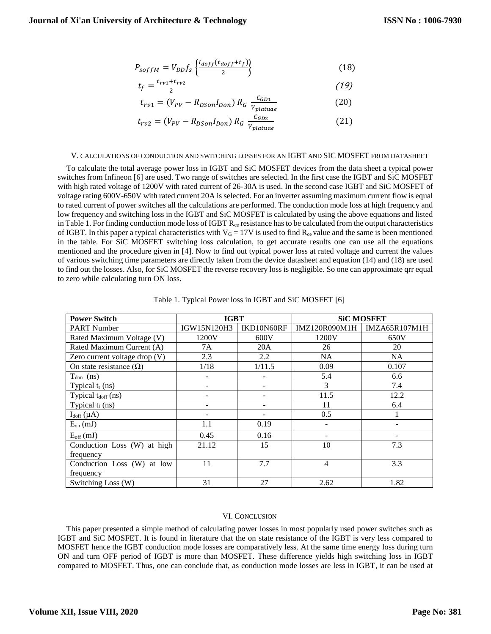$$
P_{softM} = V_{DD} f_s \left\{ \frac{I_{doff}(t_{doff} + t_f)}{2} \right\} \tag{18}
$$

$$
t_f = \frac{t_{rv1} + t_{rv2}}{2} \tag{19}
$$

$$
t_{rv1} = (V_{PV} - R_{DSon}I_{Don}) R_G \frac{c_{GD1}}{V_{platuae}}
$$
 (20)

$$
t_{rv2} = (V_{PV} - R_{DSon}I_{Don}) R_G \frac{c_{GD2}}{V_{platuae}}
$$
 (21)

#### V. CALCULATIONS OF CONDUCTION AND SWITCHING LOSSES FOR AN IGBT AND SIC MOSFET FROM DATASHEET

To calculate the total average power loss in IGBT and SiC MOSFET devices from the data sheet a typical power switches from Infineon [6] are used. Two range of switches are selected. In the first case the IGBT and SiC MOSFET with high rated voltage of 1200V with rated current of 26-30A is used. In the second case IGBT and SiC MOSFET of voltage rating 600V-650V with rated current 20A is selected. For an inverter assuming maximum current flow is equal to rated current of power switches all the calculations are performed. The conduction mode loss at high frequency and low frequency and switching loss in the IGBT and SiC MOSFET is calculated by using the above equations and listed in Table 1. For finding conduction mode loss of  $IGBT R_{ce}$  resistance has to be calculated from the output characteristics of IGBT. In this paper a typical characteristics with  $V_G = 17V$  is used to find  $R_{ce}$  value and the same is been mentioned in the table. For SiC MOSFET switching loss calculation, to get accurate results one can use all the equations mentioned and the procedure given in [4]. Now to find out typical power loss at rated voltage and current the values of various switching time parameters are directly taken from the device datasheet and equation (14) and (18) are used to find out the losses. Also, for SiC MOSFET the reverse recovery loss is negligible. So one can approximate qrr equal to zero while calculating turn ON loss.

| <b>Power Switch</b>            | <b>IGBT</b> |                          | <b>SiC MOSFET</b> |               |
|--------------------------------|-------------|--------------------------|-------------------|---------------|
| <b>PART Number</b>             | IGW15N120H3 | IKD10N60RF               | IMZ120R090M1H     | IMZA65R107M1H |
| Rated Maximum Voltage (V)      | 1200V       | 600V                     | 1200V             | 650V          |
| Rated Maximum Current (A)      | 7A          | 20A                      | 26                | 20            |
| Zero current voltage drop (V)  | 2.3         | 2.2                      | <b>NA</b>         | <b>NA</b>     |
| On state resistance $(\Omega)$ | 1/18        | 1/11.5                   | 0.09              | 0.107         |
| $T_{don}$ (ns)                 |             | $\qquad \qquad -$        | 5.4               | 6.6           |
| Typical $t_r$ (ns)             |             |                          | 3                 | 7.4           |
| Typical $t_{\text{doff}}$ (ns) |             |                          | 11.5              | 12.2          |
| Typical $t_f$ (ns)             |             | $\overline{\phantom{a}}$ | 11                | 6.4           |
| $I_{doff}(\mu A)$              |             | $\overline{\phantom{a}}$ | 0.5               |               |
| $E_{on}$ (mJ)                  | 1.1         | 0.19                     |                   |               |
| $E_{\text{off}}$ (mJ)          | 0.45        | 0.16                     |                   |               |
| Conduction Loss (W) at high    | 21.12       | 15                       | 10                | 7.3           |
| frequency                      |             |                          |                   |               |
| Conduction Loss (W) at low     | 11          | 7.7                      | 4                 | 3.3           |
| frequency                      |             |                          |                   |               |
| Switching Loss (W)             | 31          | 27                       | 2.62              | 1.82          |

Table 1. Typical Power loss in IGBT and SiC MOSFET [6]

## VI. CONCLUSION

This paper presented a simple method of calculating power losses in most popularly used power switches such as IGBT and SiC MOSFET. It is found in literature that the on state resistance of the IGBT is very less compared to MOSFET hence the IGBT conduction mode losses are comparatively less. At the same time energy loss during turn ON and turn OFF period of IGBT is more than MOSFET. These difference yields high switching loss in IGBT compared to MOSFET. Thus, one can conclude that, as conduction mode losses are less in IGBT, it can be used at